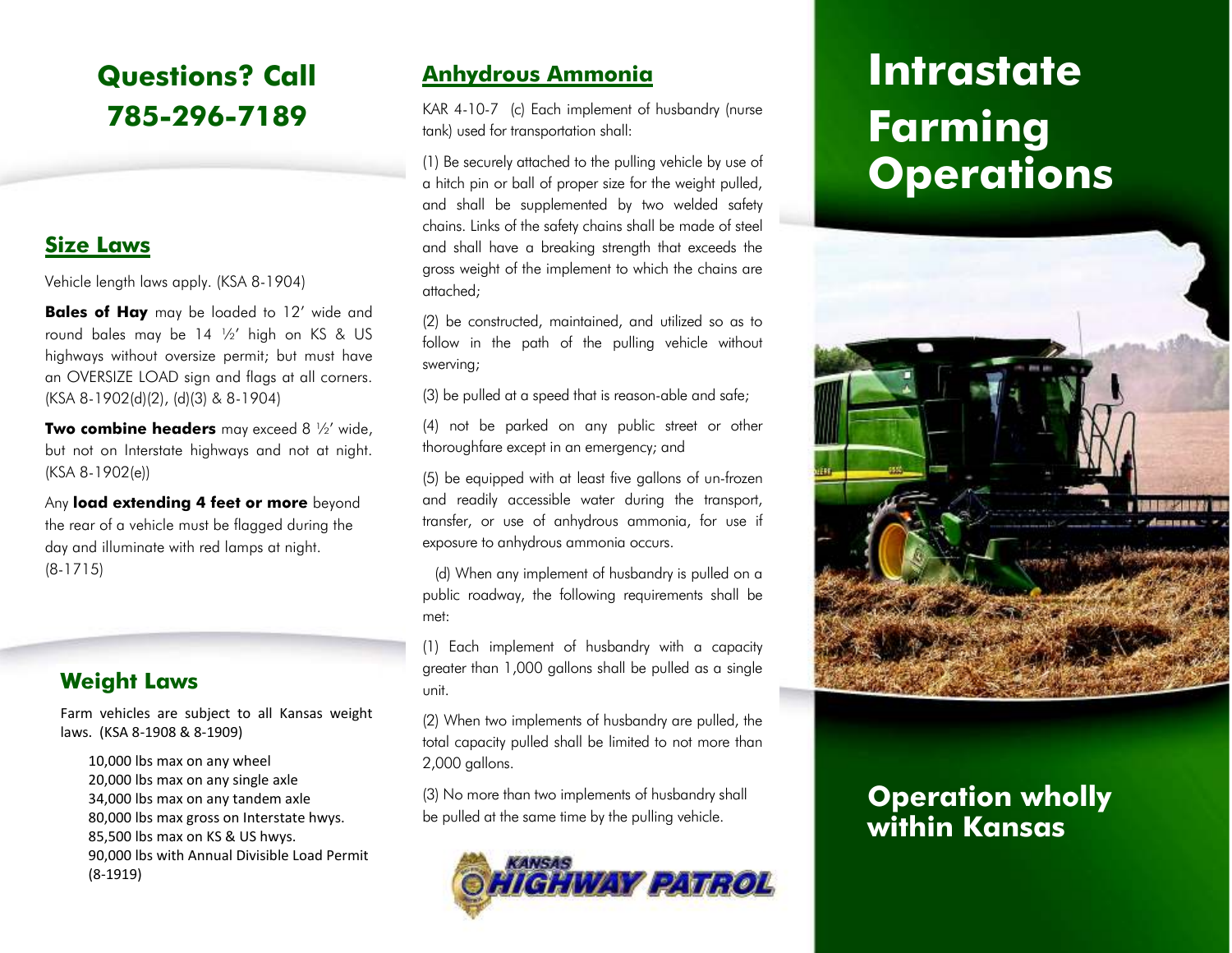## **Questions? Call 785-296-7189**

#### **Size Laws**

Vehicle length laws apply. (KSA 8-1904)

**Bales of Hay** may be loaded to 12' wide and round bales may be 14 ½' high on KS & US highways without oversize permit; but must have an OVERSIZE LOAD sign and flags at all corners. (KSA 8-1902(d)(2), (d)(3) & 8-1904)

**Two combine headers** may exceed 8 ½' wide, but not on Interstate highways and not at night. (KSA 8-1902(e))

Any **load extending 4 feet or more** beyond the rear of a vehicle must be flagged during the day and illuminate with red lamps at night. (8-1715)

#### **Weight Laws**

Farm vehicles are subject to all Kansas weight laws. (KSA 8-1908 & 8-1909)

10,000 lbs max on any wheel20,000 lbs max on any single axle 34,000 lbs max on any tandem axle 80,000 lbs max gross on Interstate hwys.85,500 lbs max on KS & US hwys.90,000 lbs with Annual Divisible Load Permit (8-1919)

### **Anhydrous Ammonia**

KAR 4-10-7 (c) Each implement of husbandry (nurse tank) used for transportation shall:

(1) Be securely attached to the pulling vehicle by use of a hitch pin or ball of proper size for the weight pulled, and shall be supplemented by two welded safety chains. Links of the safety chains shall be made of steel and shall have a breaking strength that exceeds the gross weight of the implement to which the chains are attached;

(2) be constructed, maintained, and utilized so as to follow in the path of the pulling vehicle without swerving;

(3) be pulled at a speed that is reason-able and safe;

(4) not be parked on any public street or other thoroughfare except in an emergency; and

(5) be equipped with at least five gallons of un-frozen and readily accessible water during the transport, transfer, or use of anhydrous ammonia, for use if exposure to anhydrous ammonia occurs.

 (d) When any implement of husbandry is pulled on a public roadway, the following requirements shall bemet:

(1) Each implement of husbandry with a capacity greater than 1,000 gallons shall be pulled as a single unit.

(2) When two implements of husbandry are pulled, the total capacity pulled shall be limited to not more than 2,000 gallons.

(3) No more than two implements of husbandry shall (3) No more than two implements of husbandry shall **Operation wholly**<br>be pulled at the same time by the pulling vehicle.<br>**Within Kansas** 



# **Intrastate Farming Operations**